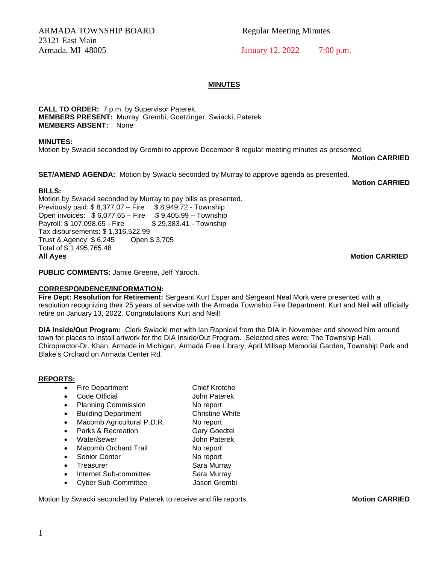ARMADA TOWNSHIP BOARD Regular Meeting Minutes 23121 East Main

Armada, MI 48005 January 12, 2022 7:00 p.m.

### **MINUTES**

**CALL TO ORDER:** 7 p.m. by Supervisor Paterek. **MEMBERS PRESENT:** Murray, Grembi, Goetzinger, Swiacki, Paterek **MEMBERS ABSENT:** None

**MINUTES:** 

Motion by Swiacki seconded by Grembi to approve December 8 regular meeting minutes as presented.

**Motion CARRIED**

**SET/AMEND AGENDA:** Motion by Swiacki seconded by Murray to approve agenda as presented.

**Motion CARRIED**

**BILLS:**  Motion by Swiacki seconded by Murray to pay bills as presented. Previously paid: \$8,377.07 – Fire \$8,949.72 - Township Open invoices: \$6,077.65 – Fire \$9,405.99 – Township<br>Payroll: \$107,098.65 - Fire \$29,383.41 - Township Payroll: \$ 107,098.65 - Fire Tax disbursements: \$ 1,316,522.99 Trust & Agency: \$ 6,245 Open \$ 3,705 Total of \$ 1,495,765.48 **All Ayes Motion CARRIED**

**PUBLIC COMMENTS:** Jamie Greene, Jeff Yaroch.

#### **CORRESPONDENCE/INFORMATION:**

**Fire Dept: Resolution for Retirement:** Sergeant Kurt Esper and Sergeant Neal Mork were presented with a resolution recognizing their 25 years of service with the Armada Township Fire Department. Kurt and Neil will officially retire on January 13, 2022. Congratulations Kurt and Neil!

**DIA Inside/Out Program:** Clerk Swiacki met with Ian Rapnicki from the DIA in November and showed him around town for places to install artwork for the DIA Inside/Out Program. Selected sites were: The Township Hall, Chiropractor-Dr. Khan, Armade in Michigan, Armada Free Library, April Millsap Memorial Garden, Township Park and Blake's Orchard on Armada Center Rd.

#### **REPORTS:**

- Fire Department Chief Krotche
- Code Official **John Paterek**
- Planning Commission No report
- Building Department Christine White
- Macomb Agricultural P.D.R. No report
- Parks & Recreation Gary Goedtel
- Water/sewer John Paterek
- Macomb Orchard Trail No report
- Senior Center No report
	-
- Treasurer Sara Murray • Internet Sub-committee Sara Murray
- Cyber Sub-Committee Jason Grembi

Motion by Swiacki seconded by Paterek to receive and file reports. **Motion CARRIED**